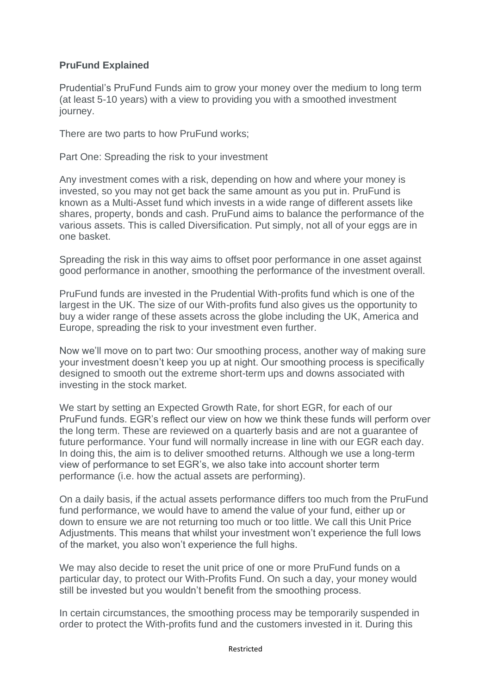## **PruFund Explained**

Prudential's PruFund Funds aim to grow your money over the medium to long term (at least 5-10 years) with a view to providing you with a smoothed investment journey.

There are two parts to how PruFund works;

Part One: Spreading the risk to your investment

Any investment comes with a risk, depending on how and where your money is invested, so you may not get back the same amount as you put in. PruFund is known as a Multi-Asset fund which invests in a wide range of different assets like shares, property, bonds and cash. PruFund aims to balance the performance of the various assets. This is called Diversification. Put simply, not all of your eggs are in one basket.

Spreading the risk in this way aims to offset poor performance in one asset against good performance in another, smoothing the performance of the investment overall.

PruFund funds are invested in the Prudential With-profits fund which is one of the largest in the UK. The size of our With-profits fund also gives us the opportunity to buy a wider range of these assets across the globe including the UK, America and Europe, spreading the risk to your investment even further.

Now we'll move on to part two: Our smoothing process, another way of making sure your investment doesn't keep you up at night. Our smoothing process is specifically designed to smooth out the extreme short-term ups and downs associated with investing in the stock market.

We start by setting an Expected Growth Rate, for short EGR, for each of our PruFund funds. EGR's reflect our view on how we think these funds will perform over the long term. These are reviewed on a quarterly basis and are not a guarantee of future performance. Your fund will normally increase in line with our EGR each day. In doing this, the aim is to deliver smoothed returns. Although we use a long-term view of performance to set EGR's, we also take into account shorter term performance (i.e. how the actual assets are performing).

On a daily basis, if the actual assets performance differs too much from the PruFund fund performance, we would have to amend the value of your fund, either up or down to ensure we are not returning too much or too little. We call this Unit Price Adjustments. This means that whilst your investment won't experience the full lows of the market, you also won't experience the full highs.

We may also decide to reset the unit price of one or more PruFund funds on a particular day, to protect our With-Profits Fund. On such a day, your money would still be invested but you wouldn't benefit from the smoothing process.

In certain circumstances, the smoothing process may be temporarily suspended in order to protect the With-profits fund and the customers invested in it. During this